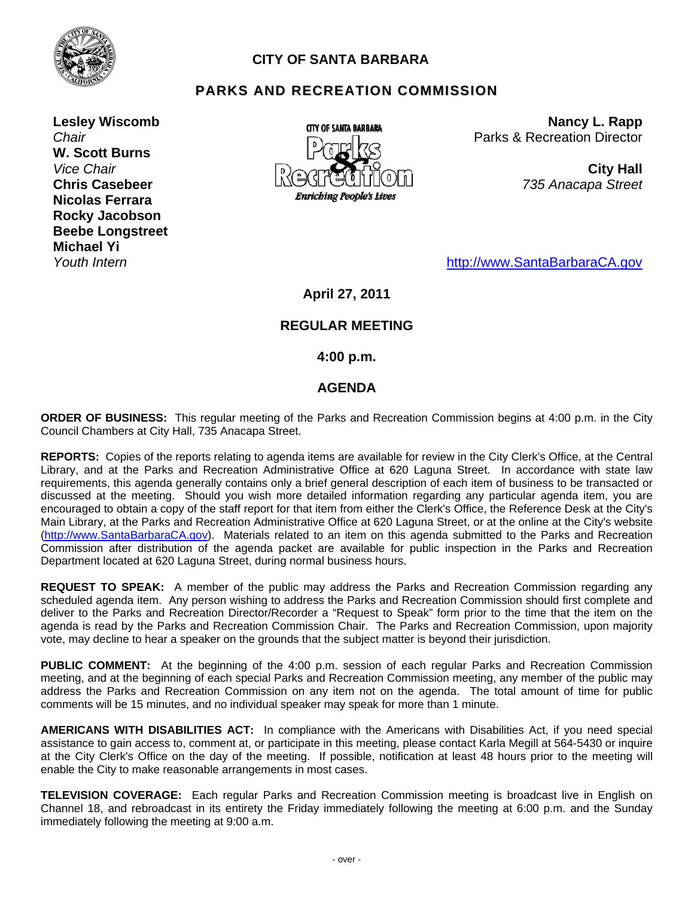

# **CITY OF SANTA BARBARA**

# **PARKS AND RECREATION COMMISSION**

**Lesley Wiscomb**  *Chair*  **W. Scott Burns**  *Vice Chair*  **Chris Casebeer Nicolas Ferrara Rocky Jacobson Beebe Longstreet Michael Yi**  *Youth Intern* 



**Nancy L. Rapp** Parks & Recreation Director

> **City Hall** *735 Anacapa Street*

[http://www.SantaBarbaraCA.gov](http://www.santabarbaraca.gov/)

# **April 27, 2011**

## **REGULAR MEETING**

 **4:00 p.m.** 

## **AGENDA**

**ORDER OF BUSINESS:** This regular meeting of the Parks and Recreation Commission begins at 4:00 p.m. in the City Council Chambers at City Hall, 735 Anacapa Street.

**REPORTS:** Copies of the reports relating to agenda items are available for review in the City Clerk's Office, at the Central Library, and at the Parks and Recreation Administrative Office at 620 Laguna Street. In accordance with state law requirements, this agenda generally contains only a brief general description of each item of business to be transacted or discussed at the meeting. Should you wish more detailed information regarding any particular agenda item, you are encouraged to obtain a copy of the staff report for that item from either the Clerk's Office, the Reference Desk at the City's Main Library, at the Parks and Recreation Administrative Office at 620 Laguna Street, or at the online at the City's website [\(http://www.SantaBarbaraCA.gov](http://www.santabarbaraca.gov/)). Materials related to an item on this agenda submitted to the Parks and Recreation Commission after distribution of the agenda packet are available for public inspection in the Parks and Recreation Department located at 620 Laguna Street, during normal business hours.

**REQUEST TO SPEAK:** A member of the public may address the Parks and Recreation Commission regarding any scheduled agenda item. Any person wishing to address the Parks and Recreation Commission should first complete and deliver to the Parks and Recreation Director/Recorder a "Request to Speak" form prior to the time that the item on the agenda is read by the Parks and Recreation Commission Chair. The Parks and Recreation Commission, upon majority vote, may decline to hear a speaker on the grounds that the subject matter is beyond their jurisdiction.

**PUBLIC COMMENT:** At the beginning of the 4:00 p.m. session of each regular Parks and Recreation Commission meeting, and at the beginning of each special Parks and Recreation Commission meeting, any member of the public may address the Parks and Recreation Commission on any item not on the agenda. The total amount of time for public comments will be 15 minutes, and no individual speaker may speak for more than 1 minute.

**AMERICANS WITH DISABILITIES ACT:** In compliance with the Americans with Disabilities Act, if you need special assistance to gain access to, comment at, or participate in this meeting, please contact Karla Megill at 564-5430 or inquire at the City Clerk's Office on the day of the meeting. If possible, notification at least 48 hours prior to the meeting will enable the City to make reasonable arrangements in most cases.

**TELEVISION COVERAGE:** Each regular Parks and Recreation Commission meeting is broadcast live in English on Channel 18, and rebroadcast in its entirety the Friday immediately following the meeting at 6:00 p.m. and the Sunday immediately following the meeting at 9:00 a.m.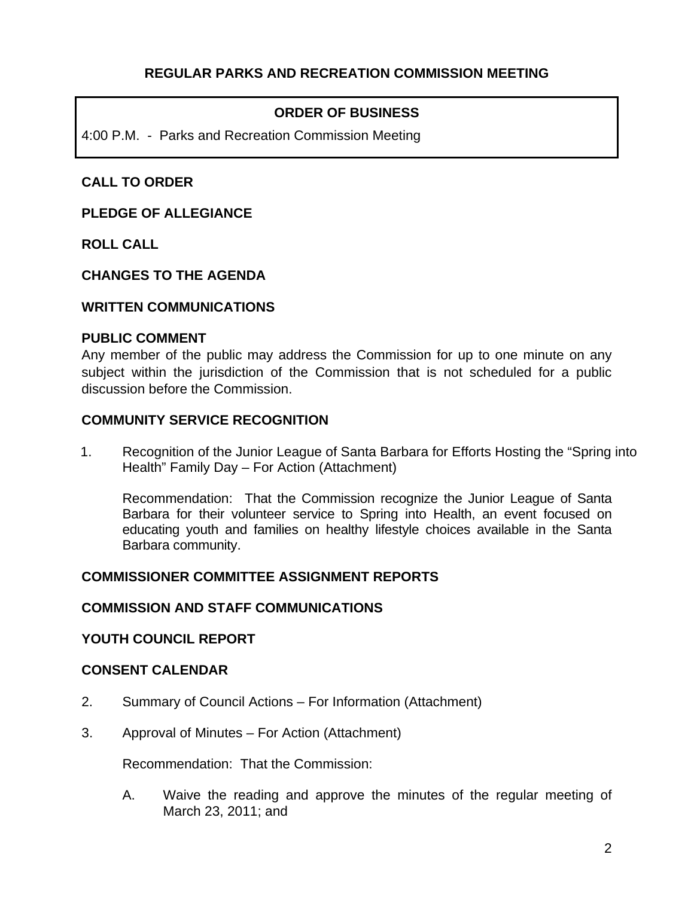# **ORDER OF BUSINESS**

4:00 P.M. - Parks and Recreation Commission Meeting

# **CALL TO ORDER**

### **PLEDGE OF ALLEGIANCE**

**ROLL CALL** 

## **CHANGES TO THE AGENDA**

### **WRITTEN COMMUNICATIONS**

#### **PUBLIC COMMENT**

Any member of the public may address the Commission for up to one minute on any subject within the jurisdiction of the Commission that is not scheduled for a public discussion before the Commission.

### **COMMUNITY SERVICE RECOGNITION**

1. Recognition of the Junior League of Santa Barbara for Efforts Hosting the "Spring into Health" Family Day – For Action (Attachment)

Recommendation: That the Commission recognize the Junior League of Santa Barbara for their volunteer service to Spring into Health, an event focused on educating youth and families on healthy lifestyle choices available in the Santa Barbara community.

## **COMMISSIONER COMMITTEE ASSIGNMENT REPORTS**

#### **COMMISSION AND STAFF COMMUNICATIONS**

#### **YOUTH COUNCIL REPORT**

#### **CONSENT CALENDAR**

- 2. Summary of Council Actions For Information (Attachment)
- 3. Approval of Minutes For Action (Attachment)

Recommendation: That the Commission:

A. Waive the reading and approve the minutes of the regular meeting of March 23, 2011; and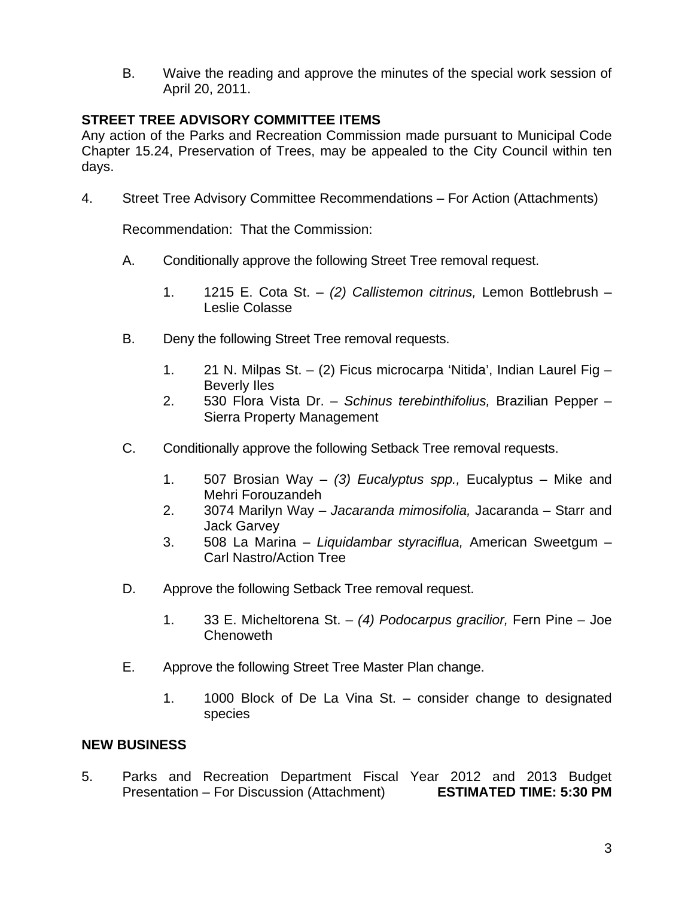B. Waive the reading and approve the minutes of the special work session of April 20, 2011.

# **STREET TREE ADVISORY COMMITTEE ITEMS**

Any action of the Parks and Recreation Commission made pursuant to Municipal Code Chapter 15.24, Preservation of Trees, may be appealed to the City Council within ten days.

4. Street Tree Advisory Committee Recommendations – For Action (Attachments)

Recommendation: That the Commission:

- A. Conditionally approve the following Street Tree removal request.
	- 1. 1215 E. Cota St. *(2) Callistemon citrinus,* Lemon Bottlebrush Leslie Colasse
- B. Deny the following Street Tree removal requests.
	- 1. 21 N. Milpas St. (2) Ficus microcarpa 'Nitida', Indian Laurel Fig Beverly Iles
	- 2. 530 Flora Vista Dr. *Schinus terebinthifolius,* Brazilian Pepper Sierra Property Management
- C. Conditionally approve the following Setback Tree removal requests.
	- 1. 507 Brosian Way *(3) Eucalyptus spp.,* Eucalyptus Mike and Mehri Forouzandeh
	- 2. 3074 Marilyn Way *Jacaranda mimosifolia,* Jacaranda Starr and Jack Garvey
	- 3. 508 La Marina *Liquidambar styraciflua,* American Sweetgum Carl Nastro/Action Tree
- D. Approve the following Setback Tree removal request.
	- 1. 33 E. Micheltorena St. *(4) Podocarpus gracilior,* Fern Pine Joe **Chenoweth**
- E. Approve the following Street Tree Master Plan change.
	- 1. 1000 Block of De La Vina St. consider change to designated species

#### **NEW BUSINESS**

5. Parks and Recreation Department Fiscal Year 2012 and 2013 Budget Presentation – For Discussion (Attachment) **ESTIMATED TIME: 5:30 PM**